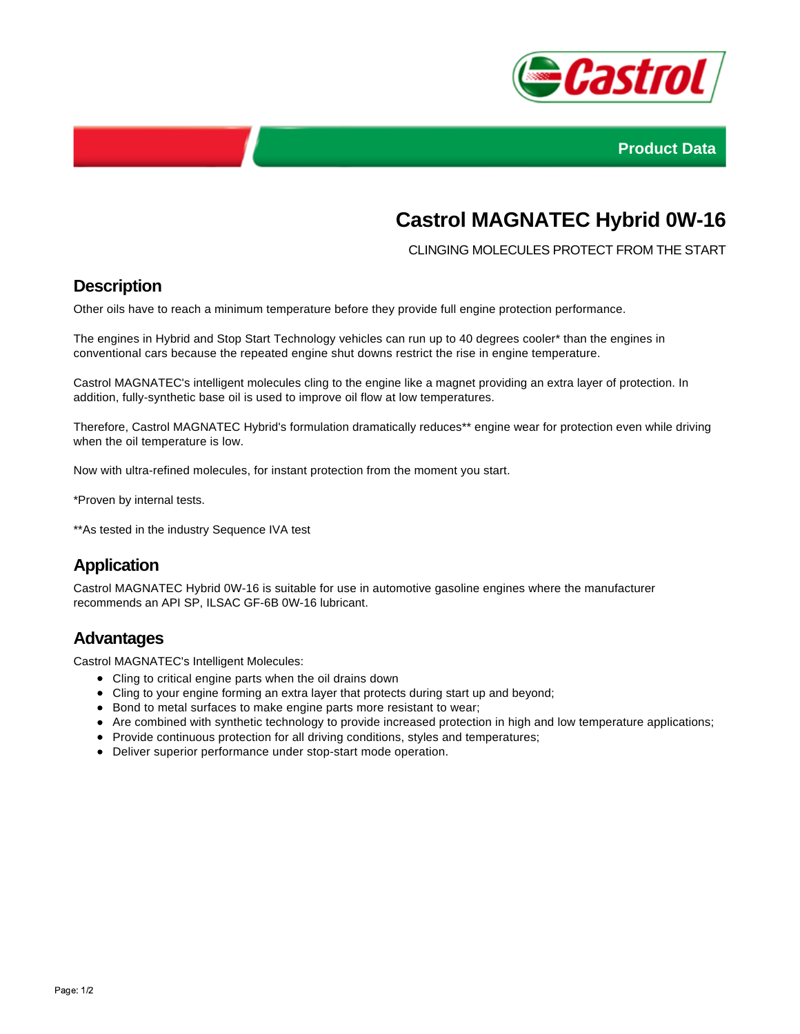



# **Castrol MAGNATEC Hybrid 0W-16**

CLINGING MOLECULES PROTECT FROM THE START

### **Description**

Other oils have to reach a minimum temperature before they provide full engine protection performance.

The engines in Hybrid and Stop Start Technology vehicles can run up to 40 degrees cooler\* than the engines in conventional cars because the repeated engine shut downs restrict the rise in engine temperature.

Castrol MAGNATEC's intelligent molecules cling to the engine like a magnet providing an extra layer of protection. In addition, fully-synthetic base oil is used to improve oil flow at low temperatures.

Therefore, Castrol MAGNATEC Hybrid's formulation dramatically reduces\*\* engine wear for protection even while driving when the oil temperature is low.

Now with ultra-refined molecules, for instant protection from the moment you start.

\*Proven by internal tests.

\*\*As tested in the industry Sequence IVA test

# **Application**

Castrol MAGNATEC Hybrid 0W-16 is suitable for use in automotive gasoline engines where the manufacturer recommends an API SP, ILSAC GF-6B 0W-16 lubricant.

#### **Advantages**

Castrol MAGNATEC's Intelligent Molecules:

- Cling to critical engine parts when the oil drains down
- Cling to your engine forming an extra layer that protects during start up and beyond;
- Bond to metal surfaces to make engine parts more resistant to wear;
- Are combined with synthetic technology to provide increased protection in high and low temperature applications;
- Provide continuous protection for all driving conditions, styles and temperatures;
- Deliver superior performance under stop-start mode operation.